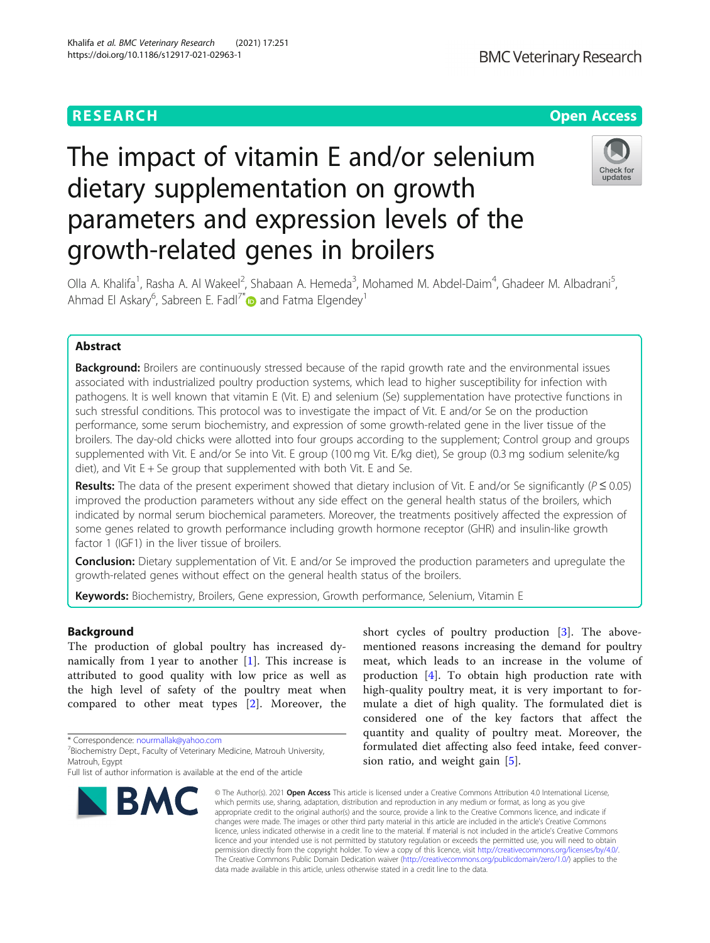## **RESEARCH CHE Open Access**

# The impact of vitamin E and/or selenium dietary supplementation on growth parameters and expression levels of the growth-related genes in broilers



Olla A. Khalifa<sup>1</sup>, Rasha A. Al Wakeel<sup>2</sup>, Shabaan A. Hemeda<sup>3</sup>, Mohamed M. Abdel-Daim<sup>4</sup>, Ghadeer M. Albadrani<sup>5</sup> , Ahmad El Askary<sup>6</sup>, Sabreen E. Fadl<sup>7[\\*](https://orcid.org/0000-0001-5541-6159)</sup> $\bullet$  and Fatma Elgendey<sup>1</sup>

## Abstract

**Background:** Broilers are continuously stressed because of the rapid growth rate and the environmental issues associated with industrialized poultry production systems, which lead to higher susceptibility for infection with pathogens. It is well known that vitamin E (Vit. E) and selenium (Se) supplementation have protective functions in such stressful conditions. This protocol was to investigate the impact of Vit. E and/or Se on the production performance, some serum biochemistry, and expression of some growth-related gene in the liver tissue of the broilers. The day-old chicks were allotted into four groups according to the supplement; Control group and groups supplemented with Vit. E and/or Se into Vit. E group (100 mg Vit. E/kg diet), Se group (0.3 mg sodium selenite/kg diet), and Vit  $E + Se$  group that supplemented with both Vit. E and Se.

Results: The data of the present experiment showed that dietary inclusion of Vit. E and/or Se significantly ( $P \le 0.05$ ) improved the production parameters without any side effect on the general health status of the broilers, which indicated by normal serum biochemical parameters. Moreover, the treatments positively affected the expression of some genes related to growth performance including growth hormone receptor (GHR) and insulin-like growth factor 1 (IGF1) in the liver tissue of broilers.

**Conclusion:** Dietary supplementation of Vit. E and/or Se improved the production parameters and upregulate the growth-related genes without effect on the general health status of the broilers.

Keywords: Biochemistry, Broilers, Gene expression, Growth performance, Selenium, Vitamin E

## Background

The production of global poultry has increased dynamically from 1 year to another [[1\]](#page-8-0). This increase is attributed to good quality with low price as well as the high level of safety of the poultry meat when compared to other meat types [[2\]](#page-8-0). Moreover, the

\* Correspondence: [nourmallak@yahoo.com](mailto:nourmallak@yahoo.com) <sup>7</sup>

Full list of author information is available at the end of the article



short cycles of poultry production [[3\]](#page-8-0). The abovementioned reasons increasing the demand for poultry meat, which leads to an increase in the volume of production [\[4](#page-8-0)]. To obtain high production rate with high-quality poultry meat, it is very important to formulate a diet of high quality. The formulated diet is considered one of the key factors that affect the quantity and quality of poultry meat. Moreover, the formulated diet affecting also feed intake, feed conversion ratio, and weight gain [[5\]](#page-8-0).

© The Author(s), 2021 **Open Access** This article is licensed under a Creative Commons Attribution 4.0 International License, which permits use, sharing, adaptation, distribution and reproduction in any medium or format, as long as you give appropriate credit to the original author(s) and the source, provide a link to the Creative Commons licence, and indicate if changes were made. The images or other third party material in this article are included in the article's Creative Commons licence, unless indicated otherwise in a credit line to the material. If material is not included in the article's Creative Commons licence and your intended use is not permitted by statutory regulation or exceeds the permitted use, you will need to obtain permission directly from the copyright holder. To view a copy of this licence, visit [http://creativecommons.org/licenses/by/4.0/.](http://creativecommons.org/licenses/by/4.0/) The Creative Commons Public Domain Dedication waiver [\(http://creativecommons.org/publicdomain/zero/1.0/](http://creativecommons.org/publicdomain/zero/1.0/)) applies to the data made available in this article, unless otherwise stated in a credit line to the data.

<sup>&</sup>lt;sup>7</sup> Biochemistry Dept., Faculty of Veterinary Medicine, Matrouh University, Matrouh, Egypt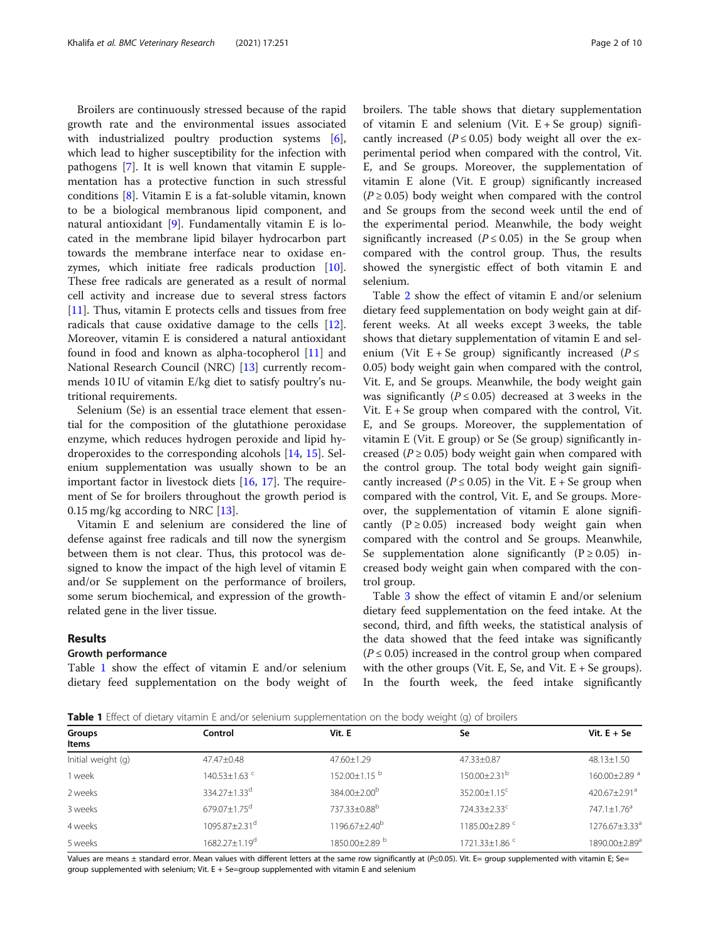Broilers are continuously stressed because of the rapid growth rate and the environmental issues associated with industrialized poultry production systems [\[6](#page-8-0)], which lead to higher susceptibility for the infection with pathogens [[7\]](#page-8-0). It is well known that vitamin E supplementation has a protective function in such stressful conditions [[8\]](#page-8-0). Vitamin E is a fat-soluble vitamin, known to be a biological membranous lipid component, and natural antioxidant  $[9]$  $[9]$ . Fundamentally vitamin E is located in the membrane lipid bilayer hydrocarbon part towards the membrane interface near to oxidase enzymes, which initiate free radicals production [\[10](#page-8-0)]. These free radicals are generated as a result of normal cell activity and increase due to several stress factors [[11\]](#page-8-0). Thus, vitamin E protects cells and tissues from free radicals that cause oxidative damage to the cells [\[12](#page-8-0)]. Moreover, vitamin E is considered a natural antioxidant found in food and known as alpha-tocopherol [[11](#page-8-0)] and National Research Council (NRC) [\[13\]](#page-8-0) currently recommends 10 IU of vitamin E/kg diet to satisfy poultry's nutritional requirements.

Selenium (Se) is an essential trace element that essential for the composition of the glutathione peroxidase enzyme, which reduces hydrogen peroxide and lipid hydroperoxides to the corresponding alcohols [[14](#page-8-0), [15\]](#page-8-0). Selenium supplementation was usually shown to be an important factor in livestock diets [\[16,](#page-8-0) [17](#page-8-0)]. The requirement of Se for broilers throughout the growth period is 0.15 mg/kg according to NRC  $[13]$  $[13]$ .

Vitamin E and selenium are considered the line of defense against free radicals and till now the synergism between them is not clear. Thus, this protocol was designed to know the impact of the high level of vitamin E and/or Se supplement on the performance of broilers, some serum biochemical, and expression of the growthrelated gene in the liver tissue.

## Results

## Growth performance

Table 1 show the effect of vitamin E and/or selenium dietary feed supplementation on the body weight of broilers. The table shows that dietary supplementation of vitamin E and selenium (Vit.  $E + Se$  group) significantly increased ( $P \le 0.05$ ) body weight all over the experimental period when compared with the control, Vit. E, and Se groups. Moreover, the supplementation of vitamin E alone (Vit. E group) significantly increased  $(P \ge 0.05)$  body weight when compared with the control and Se groups from the second week until the end of the experimental period. Meanwhile, the body weight significantly increased ( $P \le 0.05$ ) in the Se group when compared with the control group. Thus, the results showed the synergistic effect of both vitamin E and selenium.

Table [2](#page-2-0) show the effect of vitamin E and/or selenium dietary feed supplementation on body weight gain at different weeks. At all weeks except 3 weeks, the table shows that dietary supplementation of vitamin E and selenium (Vit E + Se group) significantly increased ( $P \leq$ 0.05) body weight gain when compared with the control, Vit. E, and Se groups. Meanwhile, the body weight gain was significantly ( $P \le 0.05$ ) decreased at 3 weeks in the Vit.  $E + Se$  group when compared with the control, Vit. E, and Se groups. Moreover, the supplementation of vitamin E (Vit. E group) or Se (Se group) significantly increased ( $P \ge 0.05$ ) body weight gain when compared with the control group. The total body weight gain significantly increased ( $P \le 0.05$ ) in the Vit. E + Se group when compared with the control, Vit. E, and Se groups. Moreover, the supplementation of vitamin E alone significantly  $(P \ge 0.05)$  increased body weight gain when compared with the control and Se groups. Meanwhile, Se supplementation alone significantly  $(P \ge 0.05)$  increased body weight gain when compared with the control group.

Table [3](#page-2-0) show the effect of vitamin E and/or selenium dietary feed supplementation on the feed intake. At the second, third, and fifth weeks, the statistical analysis of the data showed that the feed intake was significantly  $(P \le 0.05)$  increased in the control group when compared with the other groups (Vit. E, Se, and Vit.  $E + Se$  groups). In the fourth week, the feed intake significantly

**Table 1** Effect of dietary vitamin E and/or selenium supplementation on the body weight (g) of broilers

| Groups<br>Items    | Control                       | Vit. E                       | Se                           | Vit. $E + Se$             |
|--------------------|-------------------------------|------------------------------|------------------------------|---------------------------|
| Initial weight (g) | $47.47 \pm 0.48$              | 47.60±1.29                   | 47.33±0.87                   | $48.13 \pm 1.50$          |
| 1 week             | $140.53 + 1.63$ <sup>c</sup>  | $152.00 + 1.15$ <sup>b</sup> | 150.00±2.31 <sup>b</sup>     | 160.00±2.89 <sup>a</sup>  |
| 2 weeks            | $334.27 + 1.33^d$             | $384.00 + 2.00^{b}$          | $352.00 + 1.15$ <sup>c</sup> | $420.67 + 2.91a$          |
| 3 weeks            | $679.07 + 1.75$ <sup>d</sup>  | $737.33 + 0.88^b$            | $724.33 + 2.33^c$            | $747.1 + 1.76^a$          |
| 4 weeks            | $1095.87 + 2.31$ <sup>d</sup> | 1196.67±2.40 <sup>b</sup>    | 1185.00±2.89 <sup>c</sup>    | 1276.67±3.33 <sup>a</sup> |
| 5 weeks            | 1682.27+1.19 <sup>d</sup>     | 1850.00±2.89 b               | 1721.33±1.86 <sup>c</sup>    | 1890.00±2.89 <sup>a</sup> |

Values are means ± standard error. Mean values with different letters at the same row significantly at (P≤0.05). Vit. E= group supplemented with vitamin E; Se= group supplemented with selenium; Vit. E + Se=group supplemented with vitamin E and selenium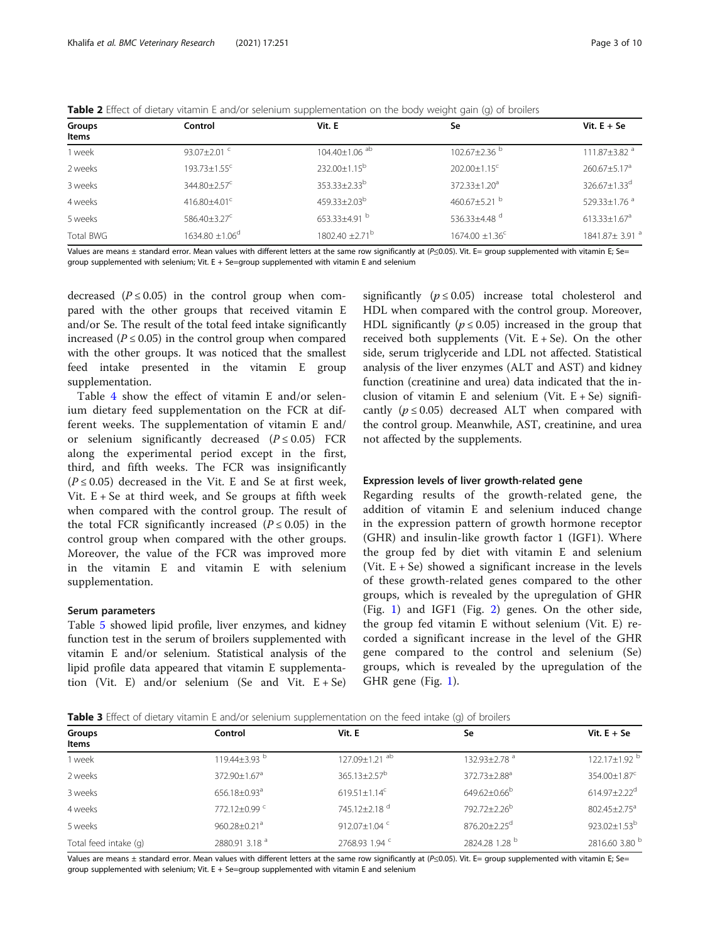<span id="page-2-0"></span>

| Table 2 Effect of dietary vitamin E and/or selenium supplementation on the body weight gain (g) of broilers |  |  |  |  |
|-------------------------------------------------------------------------------------------------------------|--|--|--|--|
|-------------------------------------------------------------------------------------------------------------|--|--|--|--|

| Groups<br>Items | Control                        | Vit. E                       | Se                              | Vit. $E + Se$                |
|-----------------|--------------------------------|------------------------------|---------------------------------|------------------------------|
| 1 week          | 93.07 $\pm$ 2.01 $\degree$     | 104.40±1.06 ab               | $102.67 + 2.36^{b}$             | 111.87 $\pm$ 3.82 $^a$       |
| 2 weeks         | $193.73 \pm 1.55$ <sup>c</sup> | $232.00+1.15^{b}$            | 202.00±1.15 <sup>c</sup>        | $260.67 + 5.17a$             |
| 3 weeks         | 344.80±2.57 <sup>c</sup>       | $353.33 \pm 2.33^b$          | $372.33 \pm 1.20^a$             | $326.67 + 1.33^d$            |
| 4 weeks         | $416.80\pm4.01^{\circ}$        | $459.33 + 2.03^b$            | 460.67+5.21 $^{\rm b}$          | $529.33 + 1.76$ <sup>a</sup> |
| 5 weeks         | $586.40 + 3.27^{\circ}$        | $653.33 + 4.91$ <sup>b</sup> | 536.33+4.48 $d$                 | $613.33 + 1.67$ <sup>a</sup> |
| Total BWG       | $1634.80 \pm 1.06^{\circ}$     | 1802.40 ± 2.71 <sup>b</sup>  | $1674.00 \pm 1.36$ <sup>c</sup> | 1841.87± 3.91 <sup>a</sup>   |

Values are means ± standard error. Mean values with different letters at the same row significantly at (P≤0.05). Vit. E= group supplemented with vitamin E; Se= group supplemented with selenium; Vit.  $E + Se = group$  supplemented with vitamin E and selenium

decreased ( $P \le 0.05$ ) in the control group when compared with the other groups that received vitamin E and/or Se. The result of the total feed intake significantly increased ( $P \le 0.05$ ) in the control group when compared with the other groups. It was noticed that the smallest feed intake presented in the vitamin E group supplementation.

Table [4](#page-3-0) show the effect of vitamin E and/or selenium dietary feed supplementation on the FCR at different weeks. The supplementation of vitamin E and/ or selenium significantly decreased  $(P \le 0.05)$  FCR along the experimental period except in the first, third, and fifth weeks. The FCR was insignificantly  $(P \le 0.05)$  decreased in the Vit. E and Se at first week, Vit.  $E + Se$  at third week, and Se groups at fifth week when compared with the control group. The result of the total FCR significantly increased  $(P \le 0.05)$  in the control group when compared with the other groups. Moreover, the value of the FCR was improved more in the vitamin E and vitamin E with selenium supplementation.

### Serum parameters

Table [5](#page-3-0) showed lipid profile, liver enzymes, and kidney function test in the serum of broilers supplemented with vitamin E and/or selenium. Statistical analysis of the lipid profile data appeared that vitamin E supplementation (Vit. E) and/or selenium (Se and Vit.  $E + Se$ )

significantly ( $p \le 0.05$ ) increase total cholesterol and HDL when compared with the control group. Moreover, HDL significantly ( $p \le 0.05$ ) increased in the group that received both supplements (Vit.  $E + Se$ ). On the other side, serum triglyceride and LDL not affected. Statistical analysis of the liver enzymes (ALT and AST) and kidney function (creatinine and urea) data indicated that the inclusion of vitamin E and selenium (Vit.  $E + Se$ ) significantly ( $p \le 0.05$ ) decreased ALT when compared with the control group. Meanwhile, AST, creatinine, and urea not affected by the supplements.

## Expression levels of liver growth-related gene

Regarding results of the growth-related gene, the addition of vitamin E and selenium induced change in the expression pattern of growth hormone receptor (GHR) and insulin-like growth factor 1 (IGF1). Where the group fed by diet with vitamin E and selenium (Vit.  $E + Se$ ) showed a significant increase in the levels of these growth-related genes compared to the other groups, which is revealed by the upregulation of GHR (Fig. [1](#page-4-0)) and IGF1 (Fig. [2\)](#page-4-0) genes. On the other side, the group fed vitamin E without selenium (Vit. E) recorded a significant increase in the level of the GHR gene compared to the control and selenium (Se) groups, which is revealed by the upregulation of the GHR gene (Fig. [1](#page-4-0)).

|  | Table 3 Effect of dietary vitamin E and/or selenium supplementation on the feed intake (g) of broilers |
|--|--------------------------------------------------------------------------------------------------------|
|  |                                                                                                        |

| Groups<br>Items       | Control                        | Vit. E                          | Se                             | Vit. $E + Se$                  |
|-----------------------|--------------------------------|---------------------------------|--------------------------------|--------------------------------|
| 1 week                | $119.44 \pm 3.93$ <sup>b</sup> | $127.09 \pm 1.21$ <sup>ab</sup> | $132.93 \pm 2.78$ <sup>a</sup> | 122.17 $\pm$ 1.92 <sup>b</sup> |
| 2 weeks               | 372.90±1.67 <sup>a</sup>       | $365.13 \pm 2.57^{\circ}$       | 372.73±2.88 <sup>a</sup>       | 354.00±1.87 <sup>c</sup>       |
| 3 weeks               | 656.18±0.93 <sup>a</sup>       | $619.51 \pm 1.14$ <sup>c</sup>  | $649.62 \pm 0.66^{\mathrm{b}}$ | $614.97 \pm 2.22$ <sup>d</sup> |
| 4 weeks               | $772.12+0.99$ <sup>c</sup>     | 745.12+2.18 <sup>d</sup>        | 792.72+2.26 <sup>b</sup>       | $802.45 + 2.75^a$              |
| 5 weeks               | 960.28±0.21 <sup>a</sup>       | 912.07±1.04 <sup>c</sup>        | 876.20±2.25 <sup>d</sup>       | $923.02 \pm 1.53^b$            |
| Total feed intake (q) | 2880.91 3.18 <sup>a</sup>      | 2768.93 1.94 °                  | 2824.28 1.28 b                 | 2816.60 3.80 b                 |

Values are means ± standard error. Mean values with different letters at the same row significantly at (P≤0.05). Vit. E= group supplemented with vitamin E; Se= group supplemented with selenium; Vit. E + Se=group supplemented with vitamin E and selenium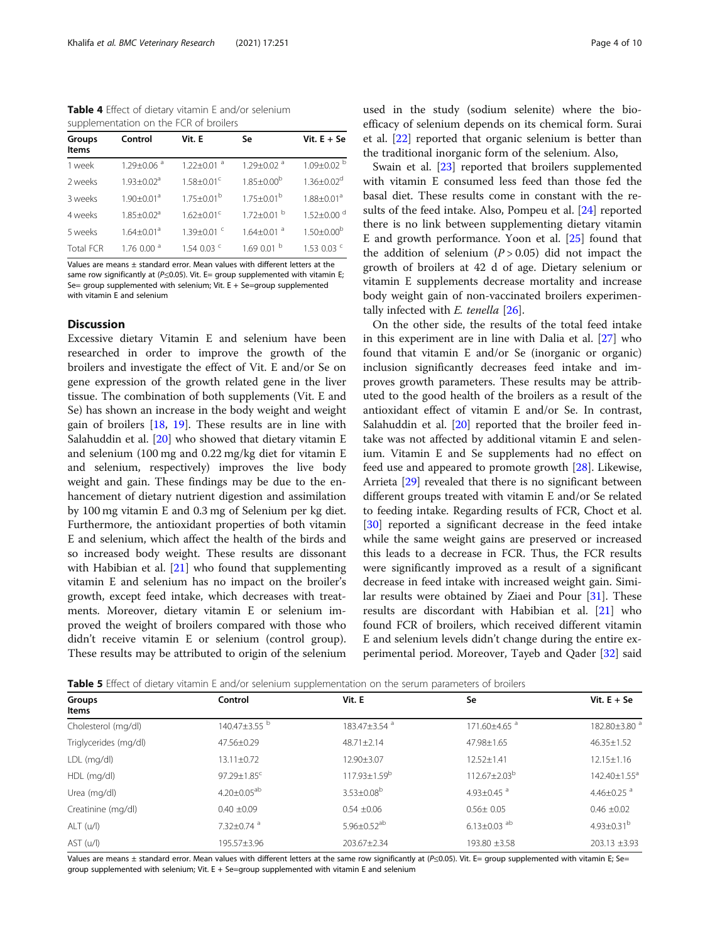<span id="page-3-0"></span>Table 4 Effect of dietary vitamin E and/or selenium supplementation on the FCR of broilers

| Groups<br><b>Items</b> | Control                      | Vit. E                       | Se                         | Vit. $E + Se$                |
|------------------------|------------------------------|------------------------------|----------------------------|------------------------------|
| 1 week                 | $1.29 + 0.06$ <sup>a</sup>   | $1.22 + 0.01$ <sup>a</sup>   | $1.29 + 0.02$ <sup>a</sup> | $1.09 \pm 0.02$ <sup>b</sup> |
| 2 weeks                | $1.93 + 0.02a$               | $1.58 \pm 0.01^c$            | $1.85 \pm 0.00^{\circ}$    | $1.36 + 0.02^d$              |
| 3 weeks                | $1.90 \pm 0.01$ <sup>a</sup> | $1.75 + 0.01^{b}$            | $1.75 + 0.01^b$            | $1.88 + 0.01a$               |
| 4 weeks                | $1.85 + 0.02a$               | $1.62 + 0.01^c$              | $1.72 \pm 0.01$ b          | $1.52 + 0.00$ <sup>d</sup>   |
| 5 weeks                | $1.64 + 0.01a$               | $1.39 \pm 0.01$ <sup>c</sup> | $1.64 + 0.01$ <sup>a</sup> | $1.50 \pm 0.00^{\circ}$      |
| <b>Total FCR</b>       | 1.760.00 <sup>d</sup>        | 1.54 0.03 $\degree$          | 1.690.01 <sup>b</sup>      | 1.53 0.03 $\degree$          |

Values are means ± standard error. Mean values with different letters at the same row significantly at ( $P \le 0.05$ ). Vit. E= group supplemented with vitamin E; Se= group supplemented with selenium; Vit. E + Se=group supplemented with vitamin E and selenium

## **Discussion**

Excessive dietary Vitamin E and selenium have been researched in order to improve the growth of the broilers and investigate the effect of Vit. E and/or Se on gene expression of the growth related gene in the liver tissue. The combination of both supplements (Vit. E and Se) has shown an increase in the body weight and weight gain of broilers [[18,](#page-8-0) [19\]](#page-8-0). These results are in line with Salahuddin et al. [\[20\]](#page-8-0) who showed that dietary vitamin E and selenium (100 mg and 0.22 mg/kg diet for vitamin E and selenium, respectively) improves the live body weight and gain. These findings may be due to the enhancement of dietary nutrient digestion and assimilation by 100 mg vitamin E and 0.3 mg of Selenium per kg diet. Furthermore, the antioxidant properties of both vitamin E and selenium, which affect the health of the birds and so increased body weight. These results are dissonant with Habibian et al. [[21\]](#page-8-0) who found that supplementing vitamin E and selenium has no impact on the broiler's growth, except feed intake, which decreases with treatments. Moreover, dietary vitamin E or selenium improved the weight of broilers compared with those who didn't receive vitamin E or selenium (control group). These results may be attributed to origin of the selenium used in the study (sodium selenite) where the bioefficacy of selenium depends on its chemical form. Surai et al. [\[22](#page-8-0)] reported that organic selenium is better than the traditional inorganic form of the selenium. Also,

Swain et al. [[23](#page-8-0)] reported that broilers supplemented with vitamin E consumed less feed than those fed the basal diet. These results come in constant with the results of the feed intake. Also, Pompeu et al. [[24\]](#page-8-0) reported there is no link between supplementing dietary vitamin E and growth performance. Yoon et al. [[25](#page-8-0)] found that the addition of selenium  $(P > 0.05)$  did not impact the growth of broilers at 42 d of age. Dietary selenium or vitamin E supplements decrease mortality and increase body weight gain of non-vaccinated broilers experimentally infected with  $E$ . tenella  $[26]$ .

On the other side, the results of the total feed intake in this experiment are in line with Dalia et al. [[27](#page-8-0)] who found that vitamin E and/or Se (inorganic or organic) inclusion significantly decreases feed intake and improves growth parameters. These results may be attributed to the good health of the broilers as a result of the antioxidant effect of vitamin E and/or Se. In contrast, Salahuddin et al. [\[20\]](#page-8-0) reported that the broiler feed intake was not affected by additional vitamin E and selenium. Vitamin E and Se supplements had no effect on feed use and appeared to promote growth [\[28](#page-8-0)]. Likewise, Arrieta [[29\]](#page-8-0) revealed that there is no significant between different groups treated with vitamin E and/or Se related to feeding intake. Regarding results of FCR, Choct et al. [[30\]](#page-8-0) reported a significant decrease in the feed intake while the same weight gains are preserved or increased this leads to a decrease in FCR. Thus, the FCR results were significantly improved as a result of a significant decrease in feed intake with increased weight gain. Similar results were obtained by Ziaei and Pour [\[31\]](#page-8-0). These results are discordant with Habibian et al. [\[21](#page-8-0)] who found FCR of broilers, which received different vitamin E and selenium levels didn't change during the entire ex-perimental period. Moreover, Tayeb and Qader [\[32](#page-8-0)] said

**Table 5** Effect of dietary vitamin E and/or selenium supplementation on the serum parameters of broilers

| Groups<br>Items       | Control                       | Vit. E                        | Se                            | Vit. $E + Se$              |
|-----------------------|-------------------------------|-------------------------------|-------------------------------|----------------------------|
| Cholesterol (mg/dl)   | 140.47±3.55 <sup>b</sup>      | 183.47±3.54 <sup>a</sup>      | 171.60±4.65 <sup>a</sup>      | 182.80±3.80 <sup>a</sup>   |
| Triglycerides (mg/dl) | 47.56±0.29                    | $48.71 \pm 2.14$              | 47.98±1.65                    | $46.35 \pm 1.52$           |
| LDL (mg/dl)           | $13.11 \pm 0.72$              | 12.90±3.07                    | $12.52 \pm 1.41$              | $12.15 \pm 1.16$           |
| HDL (mg/dl)           | $97.29 \pm 1.85$ <sup>c</sup> | $117.93 \pm 1.59^b$           | $112.67 \pm 2.03^b$           | 142.40±1.55 <sup>a</sup>   |
| Urea (mg/dl)          | $4.20 \pm 0.05^{ab}$          | $3.53 \pm 0.08^b$             | 4.93 $\pm$ 0.45 $^{\circ}$    | 4.46 $\pm$ 0.25 $^{\circ}$ |
| Creatinine (mg/dl)    | $0.40 \pm 0.09$               | $0.54 \pm 0.06$               | $0.56 \pm 0.05$               | $0.46 \pm 0.02$            |
| ALT (u/l)             | 7.32±0.74 <sup>a</sup>        | $5.96 \pm 0.52$ <sup>ab</sup> | $6.13 \pm 0.03$ <sup>ab</sup> | $4.93 \pm 0.31^b$          |
| AST (u/l)             | 195.57±3.96                   | 203.67±2.34                   | 193.80 ±3.58                  | $203.13 \pm 3.93$          |

Values are means ± standard error. Mean values with different letters at the same row significantly at (P≤0.05). Vit. E= group supplemented with vitamin E; Se= group supplemented with selenium; Vit. E + Se=group supplemented with vitamin E and selenium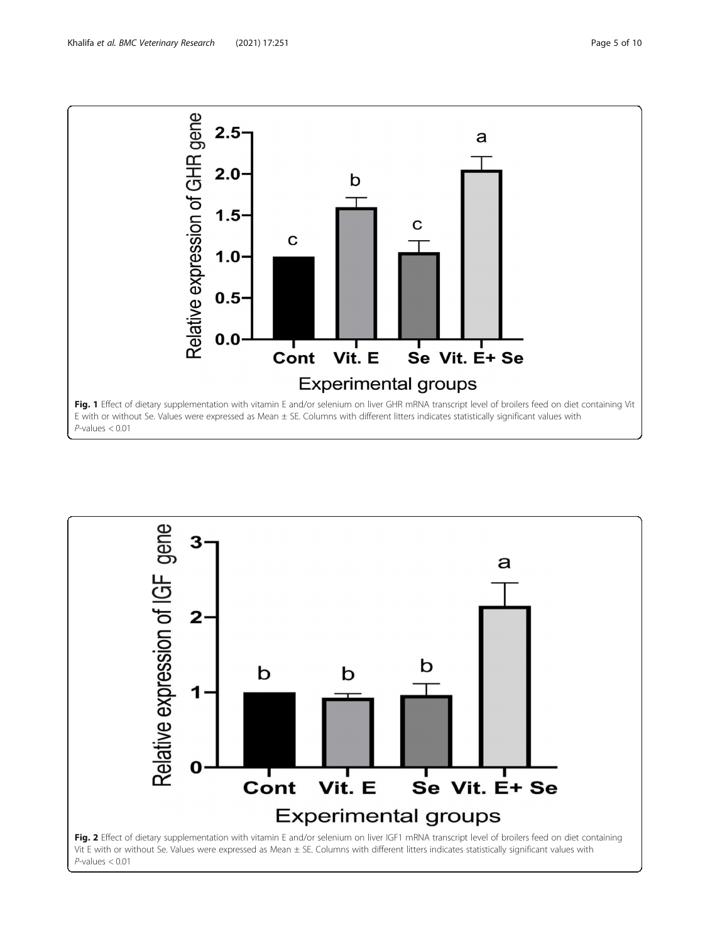

<span id="page-4-0"></span>

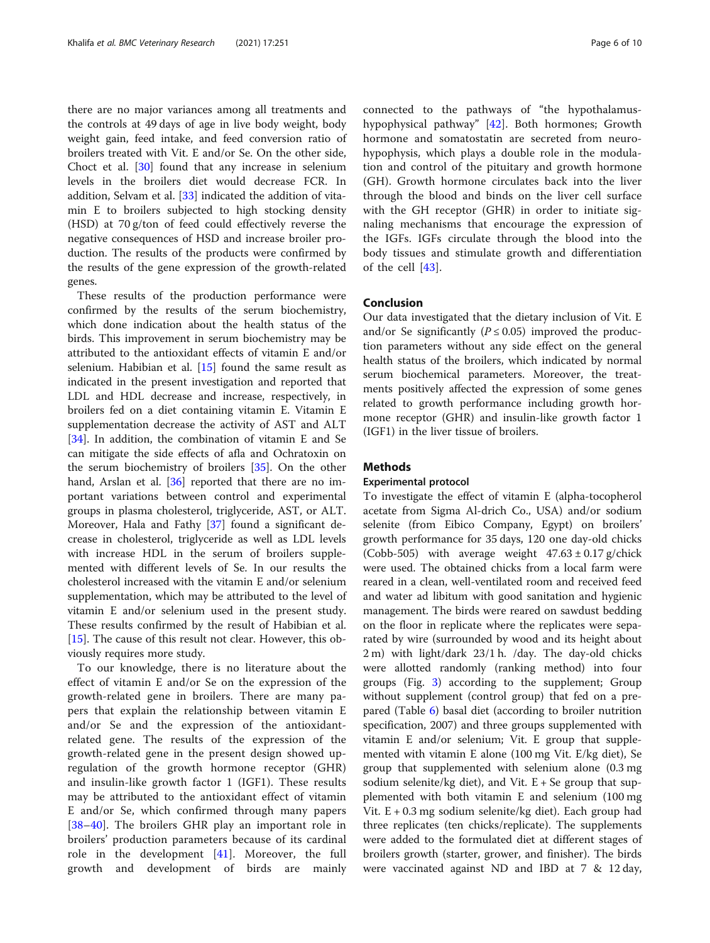there are no major variances among all treatments and the controls at 49 days of age in live body weight, body weight gain, feed intake, and feed conversion ratio of broilers treated with Vit. E and/or Se. On the other side, Choct et al. [\[30\]](#page-8-0) found that any increase in selenium levels in the broilers diet would decrease FCR. In addition, Selvam et al. [[33\]](#page-8-0) indicated the addition of vitamin E to broilers subjected to high stocking density (HSD) at 70 g/ton of feed could effectively reverse the negative consequences of HSD and increase broiler production. The results of the products were confirmed by the results of the gene expression of the growth-related genes.

These results of the production performance were confirmed by the results of the serum biochemistry, which done indication about the health status of the birds. This improvement in serum biochemistry may be attributed to the antioxidant effects of vitamin E and/or selenium. Habibian et al. [[15](#page-8-0)] found the same result as indicated in the present investigation and reported that LDL and HDL decrease and increase, respectively, in broilers fed on a diet containing vitamin E. Vitamin E supplementation decrease the activity of AST and ALT [[34\]](#page-8-0). In addition, the combination of vitamin E and Se can mitigate the side effects of afla and Ochratoxin on the serum biochemistry of broilers [\[35](#page-8-0)]. On the other hand, Arslan et al. [[36\]](#page-8-0) reported that there are no important variations between control and experimental groups in plasma cholesterol, triglyceride, AST, or ALT. Moreover, Hala and Fathy [\[37](#page-9-0)] found a significant decrease in cholesterol, triglyceride as well as LDL levels with increase HDL in the serum of broilers supplemented with different levels of Se. In our results the cholesterol increased with the vitamin E and/or selenium supplementation, which may be attributed to the level of vitamin E and/or selenium used in the present study. These results confirmed by the result of Habibian et al. [[15\]](#page-8-0). The cause of this result not clear. However, this obviously requires more study.

To our knowledge, there is no literature about the effect of vitamin E and/or Se on the expression of the growth-related gene in broilers. There are many papers that explain the relationship between vitamin E and/or Se and the expression of the antioxidantrelated gene. The results of the expression of the growth-related gene in the present design showed upregulation of the growth hormone receptor (GHR) and insulin-like growth factor 1 (IGF1). These results may be attributed to the antioxidant effect of vitamin E and/or Se, which confirmed through many papers [[38](#page-9-0)–[40\]](#page-9-0). The broilers GHR play an important role in broilers' production parameters because of its cardinal role in the development [[41](#page-9-0)]. Moreover, the full growth and development of birds are mainly connected to the pathways of "the hypothalamushypophysical pathway" [[42\]](#page-9-0). Both hormones; Growth hormone and somatostatin are secreted from neurohypophysis, which plays a double role in the modulation and control of the pituitary and growth hormone (GH). Growth hormone circulates back into the liver through the blood and binds on the liver cell surface with the GH receptor (GHR) in order to initiate signaling mechanisms that encourage the expression of the IGFs. IGFs circulate through the blood into the body tissues and stimulate growth and differentiation of the cell [\[43](#page-9-0)].

## Conclusion

Our data investigated that the dietary inclusion of Vit. E and/or Se significantly ( $P \le 0.05$ ) improved the production parameters without any side effect on the general health status of the broilers, which indicated by normal serum biochemical parameters. Moreover, the treatments positively affected the expression of some genes related to growth performance including growth hormone receptor (GHR) and insulin-like growth factor 1 (IGF1) in the liver tissue of broilers.

## **Methods**

## Experimental protocol

To investigate the effect of vitamin E (alpha-tocopherol acetate from Sigma Al-drich Co., USA) and/or sodium selenite (from Eibico Company, Egypt) on broilers' growth performance for 35 days, 120 one day-old chicks (Cobb-505) with average weight  $47.63 \pm 0.17$  g/chick were used. The obtained chicks from a local farm were reared in a clean, well-ventilated room and received feed and water ad libitum with good sanitation and hygienic management. The birds were reared on sawdust bedding on the floor in replicate where the replicates were separated by wire (surrounded by wood and its height about 2 m) with light/dark 23/1 h. /day. The day-old chicks were allotted randomly (ranking method) into four groups (Fig. [3](#page-6-0)) according to the supplement; Group without supplement (control group) that fed on a prepared (Table [6](#page-7-0)) basal diet (according to broiler nutrition specification, 2007) and three groups supplemented with vitamin E and/or selenium; Vit. E group that supplemented with vitamin E alone (100 mg Vit. E/kg diet), Se group that supplemented with selenium alone (0.3 mg sodium selenite/kg diet), and Vit.  $E + Se$  group that supplemented with both vitamin E and selenium (100 mg Vit. E + 0.3 mg sodium selenite/kg diet). Each group had three replicates (ten chicks/replicate). The supplements were added to the formulated diet at different stages of broilers growth (starter, grower, and finisher). The birds were vaccinated against ND and IBD at 7 & 12 day,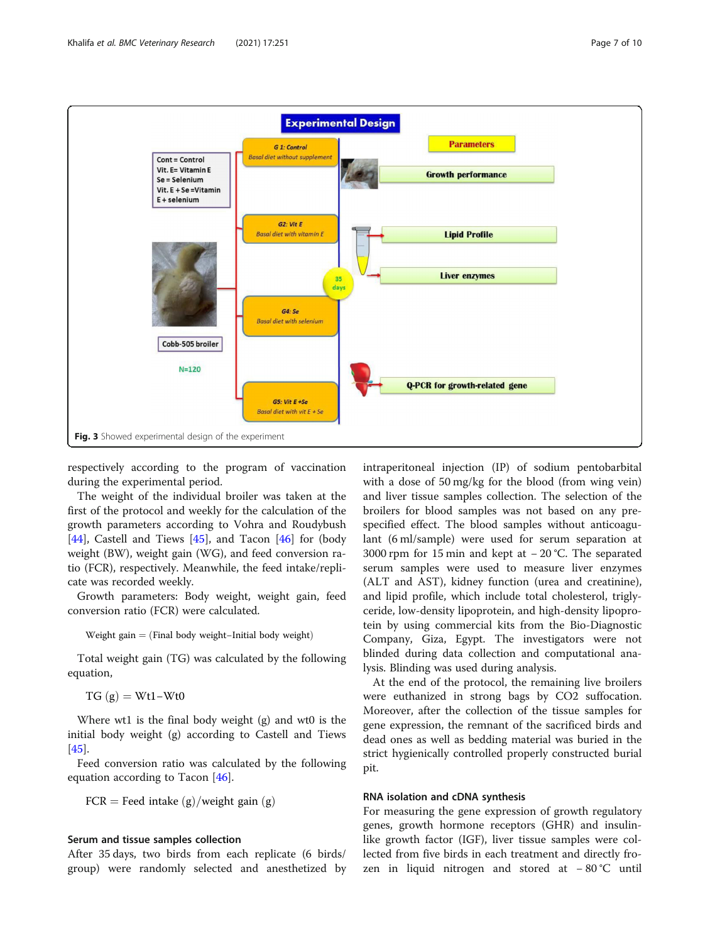<span id="page-6-0"></span>

respectively according to the program of vaccination during the experimental period.

The weight of the individual broiler was taken at the first of the protocol and weekly for the calculation of the growth parameters according to Vohra and Roudybush [[44\]](#page-9-0), Castell and Tiews [\[45\]](#page-9-0), and Tacon [\[46](#page-9-0)] for (body weight (BW), weight gain (WG), and feed conversion ratio (FCR), respectively. Meanwhile, the feed intake/replicate was recorded weekly.

Growth parameters: Body weight, weight gain, feed conversion ratio (FCR) were calculated.

Weight gain  $=$  (Final body weight–Initial body weight)

Total weight gain (TG) was calculated by the following equation,

 $TG(g) = Wt1-Wt0$ 

Where wt1 is the final body weight (g) and wt0 is the initial body weight (g) according to Castell and Tiews [[45\]](#page-9-0).

Feed conversion ratio was calculated by the following equation according to Tacon [\[46](#page-9-0)].

 $FCR = Feed$  intake  $(g)/weight$  gain  $(g)$ 

## Serum and tissue samples collection

After 35 days, two birds from each replicate (6 birds/ group) were randomly selected and anesthetized by intraperitoneal injection (IP) of sodium pentobarbital with a dose of 50 mg/kg for the blood (from wing vein) and liver tissue samples collection. The selection of the broilers for blood samples was not based on any prespecified effect. The blood samples without anticoagulant (6 ml/sample) were used for serum separation at 3000 rpm for 15 min and kept at − 20 °C. The separated serum samples were used to measure liver enzymes (ALT and AST), kidney function (urea and creatinine), and lipid profile, which include total cholesterol, triglyceride, low-density lipoprotein, and high-density lipoprotein by using commercial kits from the Bio-Diagnostic Company, Giza, Egypt. The investigators were not blinded during data collection and computational analysis. Blinding was used during analysis.

At the end of the protocol, the remaining live broilers were euthanized in strong bags by CO2 suffocation. Moreover, after the collection of the tissue samples for gene expression, the remnant of the sacrificed birds and dead ones as well as bedding material was buried in the strict hygienically controlled properly constructed burial pit.

## RNA isolation and cDNA synthesis

For measuring the gene expression of growth regulatory genes, growth hormone receptors (GHR) and insulinlike growth factor (IGF), liver tissue samples were collected from five birds in each treatment and directly frozen in liquid nitrogen and stored at − 80 °C until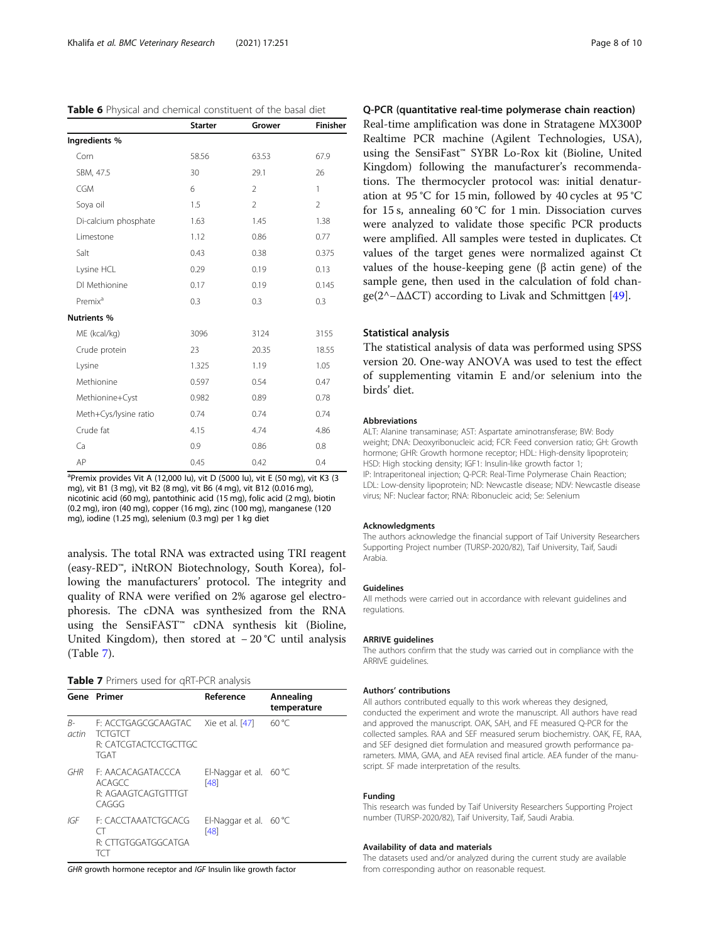<span id="page-7-0"></span>

| <b>Table 6</b> Physical and chemical constituent of the basal diet |  |
|--------------------------------------------------------------------|--|
|--------------------------------------------------------------------|--|

|                       | <b>Starter</b> | Grower         | Finisher       |
|-----------------------|----------------|----------------|----------------|
| Ingredients %         |                |                |                |
| Corn                  | 58.56          | 63.53          | 67.9           |
| SBM, 47.5             | 30             | 29.1           | 26             |
| <b>CGM</b>            | 6              | $\overline{2}$ | 1              |
| Soya oil              | 1.5            | $\overline{2}$ | $\overline{2}$ |
| Di-calcium phosphate  | 1.63           | 1.45           | 1.38           |
| Limestone             | 1.12           | 0.86           | 0.77           |
| Salt                  | 0.43           | 0.38           | 0.375          |
| Lysine HCL            | 0.29           | 0.19           | 0.13           |
| DI Methionine         | 0.17           | 0.19           | 0.145          |
| Premix <sup>a</sup>   | 0.3            | 0.3            | 0.3            |
| <b>Nutrients %</b>    |                |                |                |
| ME (kcal/kg)          | 3096           | 3124           | 3155           |
| Crude protein         | 23             | 20.35          | 18.55          |
| Lysine                | 1.325          | 1.19           | 1.05           |
| Methionine            | 0.597          | 0.54           | 0.47           |
| Methionine+Cyst       | 0.982          | 0.89           | 0.78           |
| Meth+Cys/lysine ratio | 0.74           | 0.74           | 0.74           |
| Crude fat             | 4.15           | 4.74           | 4.86           |
| Ca                    | 0.9            | 0.86           | 0.8            |
| AP                    | 0.45           | 0.42           | 0.4            |

<sup>a</sup>Premix provides Vit A (12,000 lu), vit D (5000 lu), vit E (50 mg), vit K3 (3 mg), vit B1 (3 mg), vit B2 (8 mg), vit B6 (4 mg), vit B12 (0.016 mg), nicotinic acid (60 mg), pantothinic acid (15 mg), folic acid (2 mg), biotin (0.2 mg), iron (40 mg), copper (16 mg), zinc (100 mg), manganese (120 mg), iodine (1.25 mg), selenium (0.3 mg) per 1 kg diet

analysis. The total RNA was extracted using TRI reagent (easy-RED™, iNtRON Biotechnology, South Korea), following the manufacturers' protocol. The integrity and quality of RNA were verified on 2% agarose gel electrophoresis. The cDNA was synthesized from the RNA using the SensiFAST™ cDNA synthesis kit (Bioline, United Kingdom), then stored at − 20 °C until analysis (Table 7).

| Table 7 Primers used for qRT-PCR analysis |  |
|-------------------------------------------|--|
|-------------------------------------------|--|

|             | Gene Primer                                                                                   | Reference                               | Annealing<br>temperature |
|-------------|-----------------------------------------------------------------------------------------------|-----------------------------------------|--------------------------|
| B-<br>actin | F: ACCTGAGCGCAAGTAC Xie et al. [47]<br><b>TCTGTCT</b><br>R' CATCGTACTCCTGCTTGC<br><b>TGAT</b> |                                         | $60^{\circ}$ C           |
| GHR         | F. AACACAGATACCCA<br>ACAGCC<br>R: AGAAGTCAGTGTTTGT<br>CAGGG                                   | El-Naggar et al. $60^{\circ}$ C<br>[48] |                          |
| IGF         | F: CACCTAAATCTGCACG<br>$($ $\perp$<br>R: CITGTGGATGGCATGA<br>TCT                              | El-Naggar et al. $60^{\circ}$ C<br>[48] |                          |

GHR growth hormone receptor and IGF Insulin like growth factor

## Q-PCR (quantitative real-time polymerase chain reaction)

Real-time amplification was done in Stratagene MX300P Realtime PCR machine (Agilent Technologies, USA), using the SensiFast™ SYBR Lo-Rox kit (Bioline, United Kingdom) following the manufacturer's recommendations. The thermocycler protocol was: initial denaturation at 95 °C for 15 min, followed by 40 cycles at 95 °C for 15 s, annealing  $60^{\circ}$ C for 1 min. Dissociation curves were analyzed to validate those specific PCR products were amplified. All samples were tested in duplicates. Ct values of the target genes were normalized against Ct values of the house-keeping gene (β actin gene) of the sample gene, then used in the calculation of fold change(2^−ΔΔCT) according to Livak and Schmittgen [\[49](#page-9-0)].

### Statistical analysis

The statistical analysis of data was performed using SPSS version 20. One-way ANOVA was used to test the effect of supplementing vitamin E and/or selenium into the birds' diet.

#### Abbreviations

ALT: Alanine transaminase; AST: Aspartate aminotransferase; BW: Body weight; DNA: Deoxyribonucleic acid; FCR: Feed conversion ratio; GH: Growth hormone; GHR: Growth hormone receptor; HDL: High-density lipoprotein; HSD: High stocking density; IGF1: Insulin-like growth factor 1; IP: Intraperitoneal injection; Q-PCR: Real-Time Polymerase Chain Reaction; LDL: Low-density lipoprotein; ND: Newcastle disease; NDV: Newcastle disease virus; NF: Nuclear factor; RNA: Ribonucleic acid; Se: Selenium

#### Acknowledgments

The authors acknowledge the financial support of Taif University Researchers Supporting Project number (TURSP-2020/82), Taif University, Taif, Saudi Arabia.

#### Guidelines

All methods were carried out in accordance with relevant guidelines and regulations.

#### ARRIVE guidelines

The authors confirm that the study was carried out in compliance with the ARRIVE guidelines.

#### Authors' contributions

All authors contributed equally to this work whereas they designed, conducted the experiment and wrote the manuscript. All authors have read and approved the manuscript. OAK, SAH, and FE measured Q-PCR for the collected samples. RAA and SEF measured serum biochemistry. OAK, FE, RAA, and SEF designed diet formulation and measured growth performance parameters. MMA, GMA, and AEA revised final article. AEA funder of the manuscript. SF made interpretation of the results.

#### Funding

This research was funded by Taif University Researchers Supporting Project number (TURSP-2020/82), Taif University, Taif, Saudi Arabia.

#### Availability of data and materials

The datasets used and/or analyzed during the current study are available from corresponding author on reasonable request.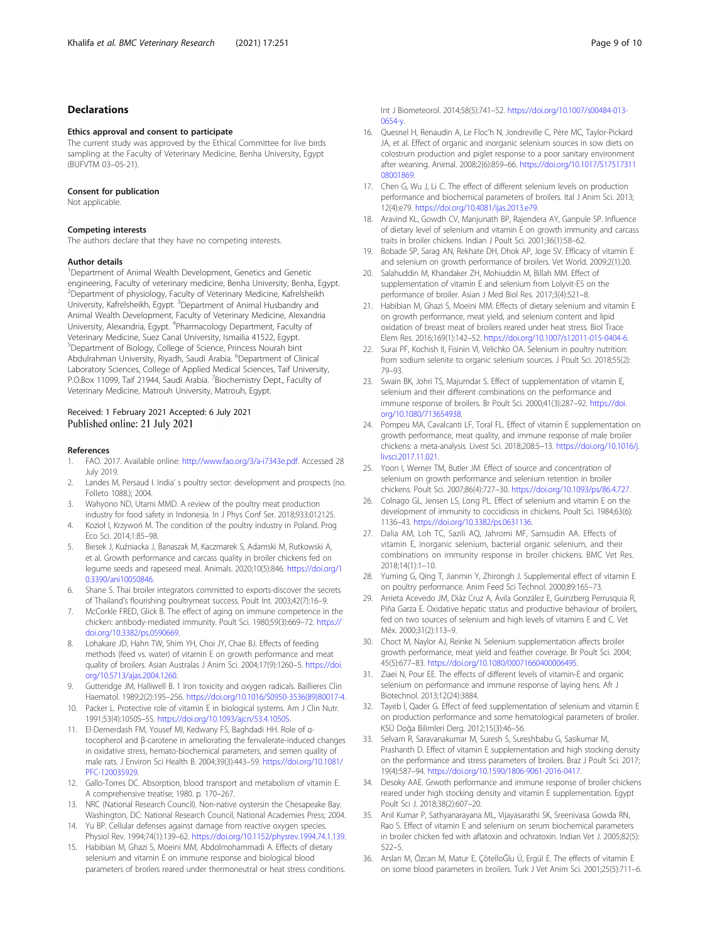## <span id="page-8-0"></span>Declarations

#### Ethics approval and consent to participate

The current study was approved by the Ethical Committee for live birds sampling at the Faculty of Veterinary Medicine, Benha University, Egypt (BUFVTM 03–05-21).

#### Consent for publication

Not applicable.

#### Competing interests

The authors declare that they have no competing interests.

#### Author details

<sup>1</sup>Department of Animal Wealth Development, Genetics and Genetic engineering, Faculty of veterinary medicine, Benha University, Benha, Egypt. 2 Department of physiology, Faculty of Veterinary Medicine, Kafrelsheikh University, Kafrelsheikh, Egypt. <sup>3</sup>Department of Animal Husbandry and Animal Wealth Development, Faculty of Veterinary Medicine, Alexandria University, Alexandria, Egypt. <sup>4</sup>Pharmacology Department, Faculty of Veterinary Medicine, Suez Canal University, Ismailia 41522, Egypt. 5 Department of Biology, College of Science, Princess Nourah bint Abdulrahman University, Riyadh, Saudi Arabia. <sup>6</sup>Department of Clinical Laboratory Sciences, College of Applied Medical Sciences, Taif University, P.O.Box 11099, Taif 21944, Saudi Arabia. <sup>7</sup> Biochemistry Dept., Faculty of Veterinary Medicine, Matrouh University, Matrouh, Egypt.

## Received: 1 February 2021 Accepted: 6 July 2021 Published online: 21 July 2021

#### References

- 1. FAO. 2017. Available online: [http://www.fao.org/3/a-i7343e.pdf.](http://www.fao.org/3/a-i7343e.pdf) Accessed 28 July 2019.
- 2. Landes M, Persaud I. India' s poultry sector: development and prospects (no. Folleto 1088.); 2004.
- 3. Wahyono ND, Utami MMD. A review of the poultry meat production
- industry for food safety in Indonesia. In J Phys Conf Ser. 2018;933:012125. 4. Kozioł I, Krzywoń M. The condition of the poultry industry in Poland. Prog Eco Sci. 2014;1:85–98.
- 5. Biesek J, Kuźniacka J, Banaszak M, Kaczmarek S, Adamski M, Rutkowski A, et al. Growth performance and carcass quality in broiler chickens fed on legume seeds and rapeseed meal. Animals. 2020;10(5):846. [https://doi.org/1](https://doi.org/10.3390/ani10050846) [0.3390/ani10050846](https://doi.org/10.3390/ani10050846).
- 6. Shane S. Thai broiler integrators committed to exports-discover the secrets of Thailand's flourishing poultrymeat success. Poult Int. 2003;42(7):16–9.
- 7. McCorkle FRED, Glick B. The effect of aging on immune competence in the chicken: antibody-mediated immunity. Poult Sci. 1980;59(3):669–72. [https://](https://doi.org/10.3382/ps.0590669) [doi.org/10.3382/ps.0590669.](https://doi.org/10.3382/ps.0590669)
- 8. Lohakare JD, Hahn TW, Shim YH, Choi JY, Chae BJ. Effects of feeding methods (feed vs. water) of vitamin E on growth performance and meat quality of broilers. Asian Australas J Anim Sci. 2004;17(9):1260–5. [https://doi.](https://doi.org/10.5713/ajas.2004.1260) [org/10.5713/ajas.2004.1260](https://doi.org/10.5713/ajas.2004.1260).
- 9. Gutteridge JM, Halliwell B. 1 Iron toxicity and oxygen radicals. Baillieres Clin Haematol. 1989;2(2):195–256. [https://doi.org/10.1016/S0950-3536\(89\)80017-4](https://doi.org/10.1016/S0950-3536(89)80017-4).
- 10. Packer L. Protective role of vitamin E in biological systems. Am J Clin Nutr. 1991;53(4):1050S–5S. [https://doi.org/10.1093/ajcn/53.4.1050S.](https://doi.org/10.1093/ajcn/53.4.1050S)
- 11. El-Demerdash FM, Yousef MI, Kedwany FS, Baghdadi HH. Role of αtocopherol and β-carotene in ameliorating the fenvalerate-induced changes in oxidative stress, hemato-biochemical parameters, and semen quality of male rats. J Environ Sci Health B. 2004;39(3):443–59. [https://doi.org/10.1081/](https://doi.org/10.1081/PFC-120035929) [PFC-120035929](https://doi.org/10.1081/PFC-120035929).
- 12. Gallo-Torres DC. Absorption, blood transport and metabolism of vitamin E. A comprehensive treatise; 1980. p. 170–267.
- 13. NRC (National Research Council). Non-native oystersin the Chesapeake Bay. Washington, DC: National Research Council, National Academies Press; 2004.
- 14. Yu BP. Cellular defenses against damage from reactive oxygen species. Physiol Rev. 1994;74(1):139–62. <https://doi.org/10.1152/physrev.1994.74.1.139>.
- 15. Habibian M, Ghazi S, Moeini MM, Abdolmohammadi A. Effects of dietary selenium and vitamin E on immune response and biological blood parameters of broilers reared under thermoneutral or heat stress conditions.

Int J Biometeorol. 2014;58(5):741–52. [https://doi.org/10.1007/s00484-013-](https://doi.org/10.1007/s00484-013-0654-y) [0654-y.](https://doi.org/10.1007/s00484-013-0654-y)

- 16. Quesnel H, Renaudin A, Le Floc'h N, Jondreville C, Père MC, Taylor-Pickard JA, et al. Effect of organic and inorganic selenium sources in sow diets on colostrum production and piglet response to a poor sanitary environment after weaning. Animal. 2008;2(6):859–66. [https://doi.org/10.1017/S17517311](https://doi.org/10.1017/S1751731108001869) [08001869](https://doi.org/10.1017/S1751731108001869)
- 17. Chen G, Wu J, Li C. The effect of different selenium levels on production performance and biochemical parameters of broilers. Ital J Anim Sci. 2013; 12(4):e79. [https://doi.org/10.4081/ijas.2013.e79.](https://doi.org/10.4081/ijas.2013.e79)
- 18. Aravind KL, Gowdh CV, Manjunath BP, Rajendera AY, Ganpule SP. Influence of dietary level of selenium and vitamin E on growth immunity and carcass traits in broiler chickens. Indian J Poult Sci. 2001;36(1):58–62.
- 19. Bobade SP, Sarag AN, Rekhate DH, Dhok AP, Joge SV. Efficacy of vitamin E and selenium on growth performance of broilers. Vet World. 2009;2(1):20.
- 20. Salahuddin M, Khandaker ZH, Mohiuddin M, Billah MM. Effect of supplementation of vitamin E and selenium from Lolyvit-ES on the performance of broiler. Asian J Med Biol Res. 2017;3(4):521–8.
- 21. Habibian M, Ghazi S, Moeini MM. Effects of dietary selenium and vitamin E on growth performance, meat yield, and selenium content and lipid oxidation of breast meat of broilers reared under heat stress. Biol Trace Elem Res. 2016;169(1):142–52. <https://doi.org/10.1007/s12011-015-0404-6>.
- 22. Surai PF, Kochish II, Fisinin VI, Velichko OA. Selenium in poultry nutrition: from sodium selenite to organic selenium sources. J Poult Sci. 2018;55(2): 79–93.
- 23. Swain BK, Johri TS, Majumdar S. Effect of supplementation of vitamin E, selenium and their different combinations on the performance and immune response of broilers. Br Poult Sci. 2000;41(3):287–92. [https://doi.](https://doi.org/10.1080/713654938) [org/10.1080/713654938.](https://doi.org/10.1080/713654938)
- 24. Pompeu MA, Cavalcanti LF, Toral FL. Effect of vitamin E supplementation on growth performance, meat quality, and immune response of male broiler chickens: a meta-analysis. Livest Sci. 2018;208:5–13. [https://doi.org/10.1016/j.](https://doi.org/10.1016/j.livsci.2017.11.021) [livsci.2017.11.021](https://doi.org/10.1016/j.livsci.2017.11.021).
- 25. Yoon I, Werner TM, Butler JM. Effect of source and concentration of selenium on growth performance and selenium retention in broiler chickens. Poult Sci. 2007;86(4):727–30. <https://doi.org/10.1093/ps/86.4.727>.
- 26. Colnago GL, Jensen LS, Long PL. Effect of selenium and vitamin E on the development of immunity to coccidiosis in chickens. Poult Sci. 1984;63(6): 1136–43. [https://doi.org/10.3382/ps.0631136.](https://doi.org/10.3382/ps.0631136)
- 27. Dalia AM, Loh TC, Sazili AQ, Jahromi MF, Samsudin AA. Effects of vitamin E, inorganic selenium, bacterial organic selenium, and their combinations on immunity response in broiler chickens. BMC Vet Res. 2018;14(1):1–10.
- 28. Yuming G, Qing T, Jianmin Y, Zhirongh J. Supplemental effect of vitamin E on poultry performance. Anim Feed Sci Technol. 2000;89:165–73.
- 29. Arrieta Acevedo JM, Diáz Cruz A, Ávila González E, Guinzberg Perrusquia R, Piña Garza E. Oxidative hepatic status and productive behaviour of broilers, fed on two sources of selenium and high levels of vitamins E and C. Vet Méx. 2000;31(2):113–9.
- 30. Choct M, Naylor AJ, Reinke N. Selenium supplementation affects broiler growth performance, meat yield and feather coverage. Br Poult Sci. 2004; 45(5):677–83. <https://doi.org/10.1080/00071660400006495>.
- 31. Ziaei N, Pour EE. The effects of different levels of vitamin-E and organic selenium on performance and immune response of laying hens. Afr J Biotechnol. 2013;12(24):3884.
- 32. Tayeb İ, Qader G. Effect of feed supplementation of selenium and vitamin E on production performance and some hematological parameters of broiler. KSÜ Doğa Bilimleri Derg. 2012;15(3):46–56.
- 33. Selvam R, Saravanakumar M, Suresh S, Sureshbabu G, Sasikumar M, Prashanth D. Effect of vitamin E supplementation and high stocking density on the performance and stress parameters of broilers. Braz J Poult Sci. 2017; 19(4):587–94. [https://doi.org/10.1590/1806-9061-2016-0417.](https://doi.org/10.1590/1806-9061-2016-0417)
- 34. Desoky AAE. Grwoth performance and immune response of broiler chickens reared under high stocking density and vitamin E supplementation. Egypt Poult Sci J. 2018;38(2):607–20.
- 35. Anil Kumar P, Sathyanarayana ML, Vijayasarathi SK, Sreenivasa Gowda RN, Rao S. Effect of vitamin E and selenium on serum biochemical parameters in broiler chicken fed with aflatoxin and ochratoxin. Indian Vet J. 2005;82(5): 522–5.
- 36. Arslan M, Özcan M, Matur E, ÇötelİoĞlu Ü, Ergül E. The effects of vitamin E on some blood parameters in broilers. Turk J Vet Anim Sci. 2001;25(5):711–6.